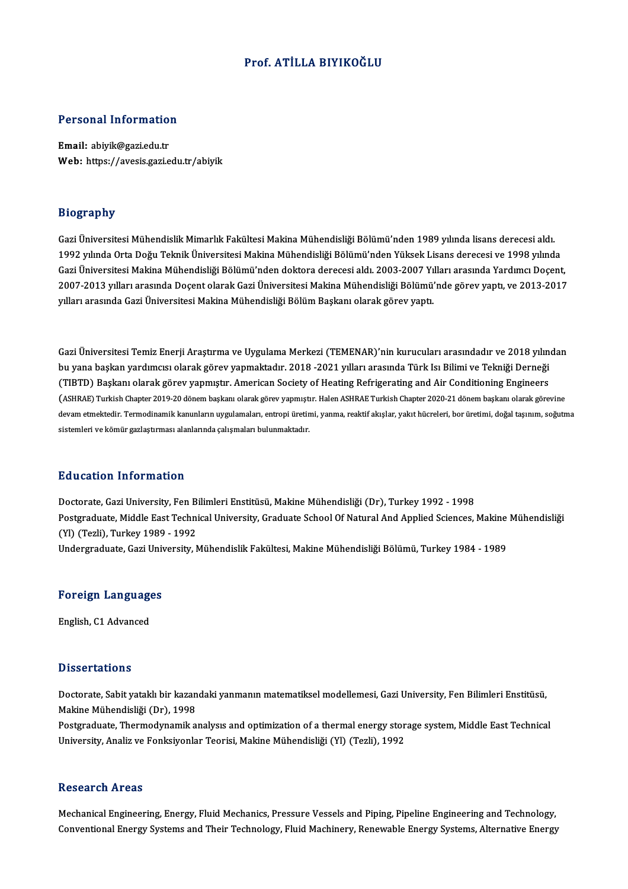### Prof. ATİLLA BIYIKOĞLU

# Personal Information

Personal Informatio<br>Email: abiyik@gazi.edu.tr<br>Web: https://avesis.cari.e Email: abiyik@gazi.edu.tr<br>Web: https://avesis.gazi.edu.tr/abiyik

#### Biography

Bi**ography**<br>Gazi Üniversitesi Mühendislik Mimarlık Fakültesi Makina Mühendisliği Bölümü'nden 1989 yılında lisans derecesi aldı.<br>1992 yılında Orta Doğu Telmik Üniversitesi Makina Mühendisliği Bölümü'nden Vülsek Lisans derec 210g1 up11<br>Gazi Üniversitesi Mühendislik Mimarlık Fakültesi Makina Mühendisliği Bölümü'nden 1989 yılında lisans derecesi aldı.<br>1992 yılında Orta Doğu Teknik Üniversitesi Makina Mühendisliği Bölümü'nden Yüksek Lisans derece Gazi Üniversitesi Mühendislik Mimarlık Fakültesi Makina Mühendisliği Bölümü'nden 1989 yılında lisans derecesi aldı.<br>1992 yılında Orta Doğu Teknik Üniversitesi Makina Mühendisliği Bölümü'nden Yüksek Lisans derecesi ve 1998 1992 yılında Orta Doğu Teknik Üniversitesi Makina Mühendisliği Bölümü'nden Yüksek Lisans derecesi ve 1998 yılında<br>Gazi Üniversitesi Makina Mühendisliği Bölümü'nden doktora derecesi aldı. 2003-2007 Yılları arasında Yardımcı Gazi Üniversitesi Makina Mühendisliği Bölümü'nden doktora derecesi aldı. 2003-2007 Yı<br>2007-2013 yılları arasında Doçent olarak Gazi Üniversitesi Makina Mühendisliği Bölümü'<br>yılları arasında Gazi Üniversitesi Makina Mühendi

Gazi Üniversitesi Temiz Enerji Araştırma ve Uygulama Merkezi (TEMENAR)'nin kurucuları arasındadır ve 2018 yılından<br>bu yana başkan vardımaya olarak görev yanmektedir. 2019, 2021 yılları arasında Türk Isı Bilimi ve Telmiği D Gazi Üniversitesi Temiz Enerji Araştırma ve Uygulama Merkezi (TEMENAR)'nin kurucuları arasındadır ve 2018 yılın<br>bu yana başkan yardımcısı olarak görev yapmaktadır. 2018 -2021 yılları arasında Türk Isı Bilimi ve Tekniği Der Gazi Üniversitesi Temiz Enerji Araştırma ve Uygulama Merkezi (TEMENAR)'nin kurucuları arasındadır ve 2018 yılın<br>bu yana başkan yardımcısı olarak görev yapmaktadır. 2018 -2021 yılları arasında Türk Isı Bilimi ve Tekniği Der bu yana başkan yardımcısı olarak görev yapmaktadır. 2018 -2021 yılları arasında Türk Isı Bilimi ve Tekniği Derneği<br>(TIBTD) Başkanı olarak görev yapmıştır. American Society of Heating Refrigerating and Air Conditioning Engi (TIBTD) Başkanı olarak görev yapmıştır. American Society or Heating Kerrigerating and Air Conditioning Engineers<br>(ASHRAE) Turkish Chapter 2019-20 dönem başkanı olarak görev yapmıştır. Halen ASHRAE Turkish Chapter 2020-21 d devam etmektedir. Termodinamik kanunların uygulamaları, entropi üretimi, yanma, reaktif akışlar, yakıt hücreleri, bor üretimi, doğal taşınım, soğutma<br>sistemleri ve kömür gazlaştırması alanlarında çalışmaları bulunmaktadır.

#### Education Information

Education Information<br>Doctorate, Gazi University, Fen Bilimleri Enstitüsü, Makine Mühendisliği (Dr), Turkey 1992 - 1998<br>Postaraduata Middle Fast Technical University, Craduate School Of Natural And Annlied Sciences Postgraduate, Middle East Technical University, Graduate School Of Natural And Applied Sciences, Makine Mühendisliği<br>(Yl) (Tezli), Turkey 1989 - 1992 Doctorate, Gazi University, Fen B<br>Postgraduate, Middle East Techni<br>(Yl) (Tezli), Turkey 1989 - 1992<br>Undergraduate Cari University M Undergraduate,GaziUniversity,MühendislikFakültesi,MakineMühendisliğiBölümü,Turkey1984 -1989

## <sub>Undergraduate, Gazi Univ<br>Foreign Languages</sub> F<mark>oreign Languag</mark>e<br>English, C1 Advanced

English, C1 Advanced<br>Dissertations

Dissertations<br>Doctorate, Sabit yataklı bir kazandaki yanmanın matematiksel modellemesi, Gazi University, Fen Bilimleri Enstitüsü,<br>Makine Mühendisliği (Dr.), 1999 2 19991 datışmı<br>Doctorate, Sabit yataklı bir kazan<br>Makine Mühendisliği (Dr), 1998<br>Postaraduate, Thermodunamik e Doctorate, Sabit yataklı bir kazandaki yanmanın matematiksel modellemesi, Gazi University, Fen Bilimleri Enstitüsü,<br>Makine Mühendisliği (Dr), 1998<br>Postgraduate, Thermodynamik analysıs and optimization of a thermal energy s

Makine Mühendisliği (Dr), 1998<br>Postgraduate, Thermodynamik analysıs and optimization of a thermal energy storage system, Middle East Technical<br>University, Analiz ve Fonksiyonlar Teorisi, Makine Mühendisliği (Yl) (Tezli), 1

#### **Research Areas**

Research Areas<br>Mechanical Engineering, Energy, Fluid Mechanics, Pressure Vessels and Piping, Pipeline Engineering and Technology,<br>Conventional Energy Systems and Their Technology, Fluid Machinery, Benevyable Energy Systems rcoocut on 111 cao<br>Mechanical Engineering, Energy, Fluid Mechanics, Pressure Vessels and Piping, Pipeline Engineering and Technology,<br>Conventional Energy Systems and Their Technology, Fluid Machinery, Renewable Energy Syst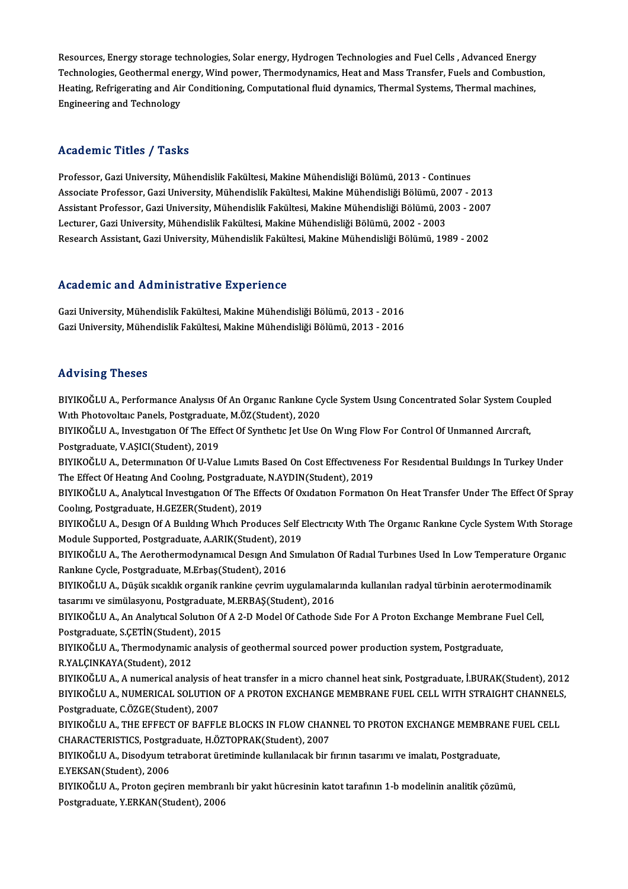Resources, Energy storage technologies, Solar energy, Hydrogen Technologies and Fuel Cells , Advanced Energy<br>Technologies, Coethermal anergy, Wind noven, Thermodynamics, Heat and Mass Transfor, Evels and Combustion Resources, Energy storage technologies, Solar energy, Hydrogen Technologies and Fuel Cells , Advanced Energy<br>Technologies, Geothermal energy, Wind power, Thermodynamics, Heat and Mass Transfer, Fuels and Combustion,<br>Heatin Resources, Energy storage technologies, Solar energy, Hydrogen Technologies and Fuel Cells , Advanced Energy<br>Technologies, Geothermal energy, Wind power, Thermodynamics, Heat and Mass Transfer, Fuels and Combustio<br>Heating, Technologies, Geothermal en<br>Heating, Refrigerating and Ai<br>Engineering and Technology

## Engineering and Technology<br>Academic Titles / Tasks

Academic Titles / Tasks<br>Professor, Gazi University, Mühendislik Fakültesi, Makine Mühendisliği Bölümü, 2013 - Continues<br>Assesiste Professor, Cazi University, Mühendislik Fakültesi, Makine Mühendisliği Bölümü, 2007, 7 Associate Articus 7 - 1 1912<br>Professor, Gazi University, Mühendislik Fakültesi, Makine Mühendisliği Bölümü, 2013 - Continues<br>Associate Professor, Gazi University, Mühendislik Fakültesi, Makine Mühendisliği Bölümü, 2007 - 2 Professor, Gazi University, Mühendislik Fakültesi, Makine Mühendisliği Bölümü, 2013 - Continues<br>Associate Professor, Gazi University, Mühendislik Fakültesi, Makine Mühendisliği Bölümü, 2007 - 2013<br>Assistant Professor, Gazi Associate Professor, Gazi University, Mühendislik Fakültesi, Makine Mühendisliği Bölümü, 20<br>Assistant Professor, Gazi University, Mühendislik Fakültesi, Makine Mühendisliği Bölümü, 20<br>Lecturer, Gazi University, Mühendislik Assistant Professor, Gazi University, Mühendislik Fakültesi, Makine Mühendisliği Bölümü, 2003 - 2007<br>Lecturer, Gazi University, Mühendislik Fakültesi, Makine Mühendisliği Bölümü, 2002 - 2003<br>Research Assistant, Gazi Univer Research Assistant, Gazi University, Mühendislik Fakültesi, Makine Mühendisliği Bölümü, 1989 - 2002<br>Academic and Administrative Experience

GaziUniversity,MühendislikFakültesi,MakineMühendisliğiBölümü,2013 -2016 Gazi University, Mühendislik Fakültesi, Makine Mühendisliği Bölümü, 2013 - 2016

#### Advising Theses

Advising Theses<br>BIYIKOĞLU A., Performance Analysıs Of An Organıc Rankıne Cycle System Usıng Concentrated Solar System Coupled<br>With Photoveltare Panels, Pestynduate, MÖZ(Student), 2020 TER VISING<br>PIYIKOĞLU A., Performance Analysis Of An Organic Rankine Cy<br>With Photovoltaic Panels, Postgraduate, M.ÖZ(Student), 2020<br>PIYIKOĞLU A. Investisation Of The Effect Of Synthotic Jot Use ( BIYIKOĞLU A., Performance Analysis Of An Organic Rankine Cycle System Using Concentrated Solar System Cou<br>With Photovoltaic Panels, Postgraduate, M.ÖZ(Student), 2020<br>BIYIKOĞLU A., Investigation Of The Effect Of Synthetic J

With Photovoltaic Panels, Postgraduat<br>BIYIKOĞLU A., Investigation Of The Eff<br>Postgraduate, V.AŞICI(Student), 2019<br>BIYIKOĞLU A. Determination Of II Vol BIYIKOĞLU A., Investigation Of The Effect Of Synthetic Jet Use On Wing Flow For Control Of Unmanned Aircraft,<br>Postgraduate, V.AŞICI(Student), 2019<br>BIYIKOĞLU A., Determination Of U-Value Limits Based On Cost Effectiveness F

Postgraduate, V.AŞICI(Student), 2019<br>BIYIKOĞLU A., Determınatıon Of U-Value Limits Based On Cost Effectiveness For Residential Buildings In Turkey Under<br>The Effect Of Heating And Cooling, Postgraduate, N.AYDIN(Student), 20 BIYIKOĞLU A., Determination Of U-Value Limits Based On Cost Effectiveness For Residential Buildings In Turkey Under<br>The Effect Of Heating And Cooling, Postgraduate, N.AYDIN(Student), 2019<br>BIYIKOĞLU A., Analytical Investiga

The Effect Of Heating And Cooling, Postgraduate,<br>BIYIKOĞLU A., Analytical Investigation Of The Eff<br>Cooling, Postgraduate, H.GEZER(Student), 2019<br>BIYIKOĞLU A. Desirm Of A Building Which Brodi BIYIKOĞLU A., Analytıcal Investigation Of The Effects Of Oxidation Formation On Heat Transfer Under The Effect Of Spray<br>Cooling, Postgraduate, H.GEZER(Student), 2019<br>BIYIKOĞLU A., Design Of A Building Which Produces Self E

Cooling, Postgraduate, H.GEZER(Student), 2019<br>BIYIKOĞLU A., Design Of A Building Which Produces Self I<br>Module Supported, Postgraduate, A.ARIK(Student), 2019<br>BIYIKOĞLU A. The Aspathermedynamyal Design Ard Sim BIYIKOĞLU A., Design Of A Building Which Produces Self Electricity With The Organic Rankine Cycle System With Storag<br>Module Supported, Postgraduate, A.ARIK(Student), 2019<br>BIYIKOĞLU A., The Aerothermodynamical Design And Si

Module Supported, Postgraduate, A.ARIK(Student), 2019<br>BIYIKOĞLU A., The Aerothermodynamıcal Design And Sin<br>Rankine Cycle, Postgraduate, M.Erbaş(Student), 2016 BIYIKOĞLU A., The Aerothermodynamıcal Design And Simulation Of Radial Turbines Used In Low Temperature Organic<br>Rankine Cycle, Postgraduate, M.Erbaş(Student), 2016<br>BIYIKOĞLU A., Düşük sıcaklık organik rankine çevrim uygulam

BIYIKOĞLU A., Düşük sıcaklık organik rankine çevrim uygulamalarında kullanılan radyal türbinin aerotermodinamik BIYIKOĞLU A., Düşük sıcaklık organik rankine çevrim uygulamalarında kullanılan radyal türbinin aerotermodinami<br>tasarımı ve simülasyonu, Postgraduate, M.ERBAŞ(Student), 2016<br>BIYIKOĞLU A., An Analytıcal Solution Of A 2-D Mod

tasarımı ve simülasyonu, Postgraduate,<br>BIYIKOĞLU A., An Analytıcal Solution O.<br>Postgraduate, S.ÇETİN(Student), 2015<br>BIYIKOĞLU A., Thermodimamia analysi BIYIKOĞLU A., An Analytical Solution Of A 2-D Model Of Cathode Side For A Proton Exchange Membrane<br>Postgraduate, S.ÇETİN(Student), 2015<br>BIYIKOĞLU A., Thermodynamic analysis of geothermal sourced power production system, Po

Postgraduate, S.ÇETİN(Student), 2015<br>BIYIKOĞLU A., Thermodynamic analysis of geothermal sourced power production system, Postgraduate,<br>R.YALÇINKAYA(Student), 2012

BIYIKOĞLU A., A numerical analysis of heat transfer in a micro channel heat sink, Postgraduate, İ.BURAK(Student), 2012 R.YALÇINKAYA(Student), 2012<br>BIYIKOĞLU A., A numerical analysis of heat transfer in a micro channel heat sink, Postgraduate, İ.BURAK(Student), 2012<br>BIYIKOĞLU A., NUMERICAL SOLUTION OF A PROTON EXCHANGE MEMBRANE FUEL CELL WI Postgraduate, C.ÖZGE(Student), 2007 BIYIKOĞLU A., NUMERICAL SOLUTION OF A PROTON EXCHANGE MEMBRANE FUEL CELL WITH STRAIGHT CHANNELS<br>Postgraduate, C.ÖZGE(Student), 2007<br>BIYIKOĞLU A., THE EFFECT OF BAFFLE BLOCKS IN FLOW CHANNEL TO PROTON EXCHANGE MEMBRANE FUEL

BIYIKOĞLU A., THE EFFECT OF BAFFLE BLOCKS IN FLOW CHANNEL TO PROTON EXCHANGE MEMBRANE FUEL CELL<br>CHARACTERISTICS, Postgraduate, H.ÖZTOPRAK(Student), 2007 BIYIKOĞLU A., THE EFFECT OF BAFFLE BLOCKS IN FLOW CHANNEL TO PROTON EXCHANGE MEMBRAN<br>CHARACTERISTICS, Postgraduate, H.ÖZTOPRAK(Student), 2007<br>BIYIKOĞLU A., Disodyum tetraborat üretiminde kullanılacak bir fırının tasarımı v

CHARACTERISTICS, Postgra<br>BIYIKOĞLU A., Disodyum te<br>E.YEKSAN(Student), 2006<br>BIYIKOĞLU A., Bratan geçil BIYIKOĞLU A., Disodyum tetraborat üretiminde kullanılacak bir fırının tasarımı ve imalatı, Postgraduate,<br>E.YEKSAN(Student), 2006<br>BIYIKOĞLU A., Proton geçiren membranlı bir yakıt hücresinin katot tarafının 1-b modelinin ana

E.YEKSAN(Student), 2006<br>BIYIKOĞLU A., Proton geçiren membranlı bir yakıt hücresinin katot tarafının 1-b modelinin analitik çözümü,<br>Postgraduate, Y.ERKAN(Student), 2006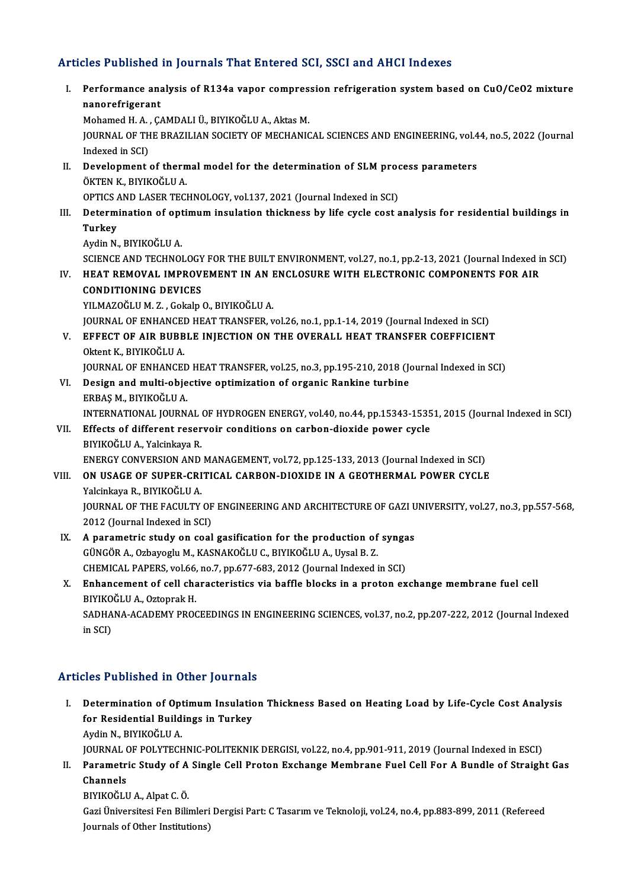### Articles Published in Journals That Entered SCI, SSCI and AHCI Indexes

I. Performance analysis of R134a vapor compression refrigeration systembased on CuO/CeO2mixture nco i abinone<br>Performance ana<br>nanorefrigerant<br>Mehamed H A G Performance analysis of R134a vapor compres<br>nanorefrigerant<br>Mohamed H. A. , ÇAMDALI Ü., BIYIKOĞLU A., Aktas M.<br>JOUPNAL OF THE PRAZU JAN SOCIETY OF MECHANIC nanorefrigerant<br>Mohamed H. A. , ÇAMDALI Ü., BIYIKOĞLU A., Aktas M.<br>JOURNAL OF THE BRAZILIAN SOCIETY OF MECHANICAL SCIENCES AND ENGINEERING, vol.44, no.5, 2022 (Journal<br>Indexed in SCI) Mohamed H. A.<br>JOURNAL OF TH<br>Indexed in SCI)<br>Development JOURNAL OF THE BRAZILIAN SOCIETY OF MECHANICAL SCIENCES AND ENGINEERING, vol.4<br>Indexed in SCI)<br>II. Development of thermal model for the determination of SLM process parameters<br>ÖVTEN V. RIVIVOČIJJA Indexed in SCI)<br>Development of therm<br>ÖKTEN K., BIYIKOĞLU A.<br>OPTICS AND LASER TECI Development of thermal model for the determination of SLM prod<br>ÖKTEN K., BIYIKOĞLU A.<br>OPTICS AND LASER TECHNOLOGY, vol.137, 2021 (Journal Indexed in SCI)<br>Determination of ontimum insulation thiskness by life sysle seat s ÖKTEN K., BIYIKOĞLU A.<br>OPTICS AND LASER TECHNOLOGY, vol.137, 2021 (Journal Indexed in SCI)<br>III. Determination of optimum insulation thickness by life cycle cost analysis for residential buildings in<br>Turkey OPTICS<br>Determ<br>Turkey<br>Avdin N Determination of opt<br>Turkey<br>Aydin N., BIYIKOĞLU A.<br>SCIENCE AND TECHNOL Turkey<br>Aydin N., BIYIKOĞLU A.<br>SCIENCE AND TECHNOLOGY FOR THE BUILT ENVIRONMENT, vol.27, no.1, pp.2-13, 2021 (Journal Indexed in SCI)<br>HEAT BEMOVAL IMBROVEMENT IN AN ENCLOSIJBE WITH ELECTRONIC COMBONENTS EOR AJR Aydin N., BIYIKOĞLU A.<br>SCIENCE AND TECHNOLOGY FOR THE BUILT ENVIRONMENT, vol.27, no.1, pp.2-13, 2021 (Journal Indexed i<br>IV. HEAT REMOVAL IMPROVEMENT IN AN ENCLOSURE WITH ELECTRONIC COMPONENTS FOR AIR<br>CONDITIONING DEVICES SCIENCE AND TECHNOLOGY<br>HEAT REMOVAL IMPROV<br>CONDITIONING DEVICES<br>YU MAZOČLUM Z. Cokala v IV. HEAT REMOVAL IMPROVEMENT IN AN ENCLOSURE WITH ELECTRONIC COMPONENTS FOR AIR CONDITIONING DEVICES<br>CONDITIONING DEVICES<br>YILMAZOĞLU M. Z. , Gokalp O., BIYIKOĞLU A. CONDITIONING DEVICES<br>YILMAZOĞLU M. Z. , Gokalp O., BIYIKOĞLU A.<br>JOURNAL OF ENHANCED HEAT TRANSFER, vol.26, no.1, pp.1-14, 2019 (Journal Indexed in SCI)<br>EEEECT OF AJR RURRLE INJECTION ON THE OVERALL HEAT TRANSEER COEEEICIEN YILMAZOĞLU M. Z. , Gokalp O., BIYIKOĞLU A.<br>JOURNAL OF ENHANCED HEAT TRANSFER, vol.26, no.1, pp.1-14, 2019 (Journal Indexed in SCI)<br>V. EFFECT OF AIR BUBBLE INJECTION ON THE OVERALL HEAT TRANSFER COEFFICIENT<br>Oktort K. BIVIKO JOURNAL OF ENHANCEI<br><mark>EFFECT OF AIR BUBB</mark><br>Oktent K., BIYIKOĞLU A.<br>JOUPNAL OF ENHANCEI EFFECT OF AIR BUBBLE INJECTION ON THE OVERALL HEAT TRANSFER COEFFICIENT<br>Oktent K., BIYIKOĞLU A.<br>JOURNAL OF ENHANCED HEAT TRANSFER, vol.25, no.3, pp.195-210, 2018 (Journal Indexed in SCI)<br>Design and multi objective entimiza Oktent K., BIYIKOĞLU A.<br>JOURNAL OF ENHANCED HEAT TRANSFER, vol.25, no.3, pp.195-210, 2018 (Journal Indexed in SCI)<br>VI. Design and multi-objective optimization of organic Rankine turbine ERBAŞM.,BIYIKOĞLUA. Design and multi-objective optimization of organic Rankine turbine<br>ERBAŞ M., BIYIKOĞLU A.<br>INTERNATIONAL JOURNAL OF HYDROGEN ENERGY, vol.40, no.44, pp.15343-15351, 2015 (Journal Indexed in SCI)<br>Effecte of different recorvei ERBAȘ M., BIYIKOĞLU A.<br>INTERNATIONAL JOURNAL OF HYDROGEN ENERGY, vol.40, no.44, pp.15343-1535<br>VII. Effects of different reservoir conditions on carbon-dioxide power cycle<br>PIVIKOĞLU A. Volsinkaya P. INTERNATIONAL JOURNAL<br>Effects of different reser<br>BIYIKOĞLU A., Yalcinkaya R.<br>ENEDCY CONVERSION AND VII. Effects of different reservoir conditions on carbon-dioxide power cycle<br>BIYIKOĞLU A., Yalcinkaya R.<br>ENERGY CONVERSION AND MANAGEMENT, vol.72, pp.125-133, 2013 (Journal Indexed in SCI) VIII. ON USAGE OF SUPER-CRITICAL CARBON-DIOXIDE IN A GEOTHERMAL POWER CYCLE Yalcinkaya R., BIYIKOĞLU A. ON USAGE OF SUPER-CRITICAL CARBON-DIOXIDE IN A GEOTHERMAL POWER CYCLE<br>Yalcinkaya R., BIYIKOĞLU A.<br>JOURNAL OF THE FACULTY OF ENGINEERING AND ARCHITECTURE OF GAZI UNIVERSITY, vol.27, no.3, pp.557-568,<br>2012 (Journal Indoved i Yalcinkaya R., BIYIKOĞLU A.<br>JOURNAL OF THE FACULTY OF<br>2012 (Journal Indexed in SCI)<br>A naramatris study an soal JOURNAL OF THE FACULTY OF ENGINEERING AND ARCHITECTURE OF GAZI U<br>2012 (Journal Indexed in SCI)<br>IX. A parametric study on coal gasification for the production of syngas<br>CUNCOP A Orbayorly M KASNAKOČLU C PIVIKOČLU A LIvel P 2012 (Journal Indexed in SCI)<br>A parametric study on coal gasification for the production of<br>GÜNGÖR A., Ozbayoglu M., KASNAKOĞLU C., BIYIKOĞLU A., Uysal B. Z.<br>CHEMICAL BARERS, vəl 66, nə 7, np.677,692,2012 (Journal Indeved A parametric study on coal gasification for the production of synga<br>GÜNGÖR A., Ozbayoglu M., KASNAKOĞLU C., BIYIKOĞLU A., Uysal B. Z.<br>CHEMICAL PAPERS, vol.66, no.7, pp.677-683, 2012 (Journal Indexed in SCI)<br>Enhancement of GÜNGÖR A., Ozbayoglu M., KASNAKOĞLU C., BIYIKOĞLU A., Uysal B. Z.<br>CHEMICAL PAPERS, vol.66, no.7, pp.677-683, 2012 (Journal Indexed in SCI)<br>X. Enhancement of cell characteristics via baffle blocks in a proton exchange membr CHEMICAL PAPERS, vol.66, no.7, pp.677-683, 2012 (Journal Indexed in SCI) Enhancement of cell characteristics via baffle blocks in a proton exchange membrane fuel cell<br>BIYIKOĞLU A., Oztoprak H.<br>SADHANA-ACADEMY PROCEEDINGS IN ENGINEERING SCIENCES, vol.37, no.2, pp.207-222, 2012 (Journal Indexed<br>i BIYIKO<br>SADHA<br>in SCI) Articles Published in Other Journals

- rticles Published in Other Journals<br>I. Determination of Optimum Insulation Thickness Based on Heating Load by Life-Cycle Cost Analysis<br>for Pesidential Buildings in Turkey For Published in State Journals<br>Determination of Optimum Insulatio<br>for Residential Buildings in Turkey Determination of Opt<br>for Residential Build<br>Aydin N., BIYIKOĞLU A.<br>JOUPNAL OF POLYTECL for Residential Buildings in Turkey<br>Aydin N., BIYIKOĞLU A.<br>JOURNAL OF POLYTECHNIC-POLITEKNIK DERGISI, vol.22, no.4, pp.901-911, 2019 (Journal Indexed in ESCI)<br>Peremetris Study of A Single Cell Broton Exchange Membrane Euel
- Aydin N., BIYIKOĞLU A.<br>I . JOURNAL OF POLYTECHNIC-POLITEKNIK DERGISI, vol.22, no.4, pp.901-911, 2019 (Journal Indexed in ESCI)<br>II. Parametric Study of A Single Cell Proton Exchange Membrane Fuel Cell For A Bundle of St JOURNAL<br>Parametr<br>Channels<br>PIVIKOČI I Parametric Study of A<br>Channels<br>BIYIKOĞLU A., Alpat C. Ö.<br>Cari Üniversitesi Fen Bili
	- Channels<br>BIYIKOĞLU A., Alpat C. Ö.<br>Gazi Üniversitesi Fen Bilimleri Dergisi Part: C Tasarım ve Teknoloji, vol.24, no.4, pp.883-899, 2011 (Refereed BIYIKOĞLU A., Alpat C. Ö.<br>Gazi Üniversitesi Fen Bilimleri<br>Journals of Other Institutions)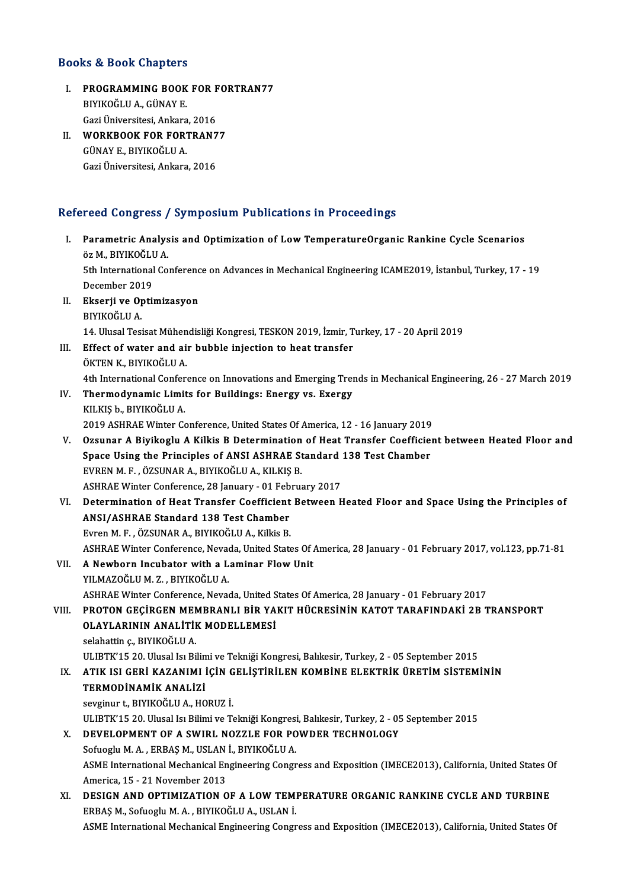### Books&Book Chapters

- OOks & Book Chapters<br>I. PROGRAMMING BOOK FOR FORTRAN77 **BIYIKOĞLUA., GÜNAYE.<br>BIYIKOĞLUA., GÜNAYE.<br>Cari Üniversitesi. Arkara** PROGRAMMING BOOK FOR F<br>BIYIKOĞLU A., GÜNAY E.<br>Gazi Üniversitesi, Ankara, 2016<br>WORKBOOK FOR FORTBANZ I . WORKBOOK FOR FORTRAN77
- Gazi Üniversitesi, Ankara<br>WORKBOOK FOR FOR<br>GÜNAY E., BIYIKOĞLU A.<br>Cari Üniversitesi, Ankara WORKBOOK FOR FORTRAN7<br>GÜNAY E., BIYIKOĞLU A.<br>Gazi Üniversitesi, Ankara, 2016

## Gazi Üniversitesi, Ankara, 2016<br>Refereed Congress / Symposium Publications in Proceedings

efereed Congress / Symposium Publications in Proceedings<br>I. Parametric Analysis and Optimization of Low TemperatureOrganic Rankine Cycle Scenarios<br>AZM, RIVIKOČLILA oma dongress<br>Parametric Analys<br>öz M., BIYIKOĞLU A.<br>Eth International Co. Parametric Analysis and Optimization of Low TemperatureOrganic Rankine Cycle Scenarios<br>öz M., BIYIKOĞLU A.<br>5th International Conference on Advances in Mechanical Engineering ICAME2019, İstanbul, Turkey, 17 - 19<br>Desember 20 öz M., BIYIKOĞLI<br>5th International<br>December 2019<br>Eksanii ve Ontii

5th International Conferenc<br>December 2019<br>II. Ekserji ve Optimizasyon<br>PIVIΚΩČI II Δ

- December 2019<br>II. Ekserji ve Optimizasyon<br>BIYIKOĞLU A.
	-

```
Ekserji ve Optimizasyon<br>BIYIKOĞLU A.<br>14. Ulusal Tesisat Mühendisliği Kongresi, TESKON 2019, İzmir, Turkey, 17 - 20 April 2019<br>Effect of water and air bubble injection te best transfor.
```
- III. Effect of water and air bubble injection to heat transfer<br>ÖKTEN K., BIYIKOĞLU A.
- 14. Ulusal Tesisat Mühen<br>Effect of water and ai:<br>ÖKTEN K., BIYIKOĞLU A.<br>4th International Conform

4th International Conference on Innovations and Emerging Trends in Mechanical Engineering, 26 - 27 March 2019

- IV. Thermodynamic Limits for Buildings: Energy vs. Exergy KILKIŞb.,BIYIKOĞLUA. 2019 ASHRAE Winter Conference, United States Of America, 12 - 16 January 2019
- KILKIŞ b., BIYIKOĞLU A.<br>2019 ASHRAE Winter Conference, United States Of America, 12 16 January 2019<br>V. Ozsunar A Biyikoglu A Kilkis B Determination of Heat Transfer Coefficient between Heated Floor and<br>Space Heing th 2019 ASHRAE Winter Conference, United States Of America, 12 - 16 January 2019<br>Ozsunar A Biyikoglu A Kilkis B Determination of Heat Transfer Coefficie<br>Space Using the Principles of ANSI ASHRAE Standard 138 Test Chamber<br>FVRE Ozsunar A Biyikoglu A Kilkis B Determination<br>Space Using the Principles of ANSI ASHRAE St<br>EVREN M. F., ÖZSUNAR A., BIYIKOĞLU A., KILKIŞ B.<br>ASHRAE Winter Conference 28 January - 01 Febru Space Using the Principles of ANSI ASHRAE Standard 138 Test Chamber<br>EVREN M. F., ÖZSUNAR A., BIYIKOĞLU A., KILKIŞ B.<br>ASHRAE Winter Conference, 28 January - 01 February 2017 EVREN M. F. , ÖZSUNAR A., BIYIKOĞLU A., KILKIŞ B.<br>ASHRAE Winter Conference, 28 January - 01 February 2017<br>VI. Determination of Heat Transfer Coefficient Between Heated Floor and Space Using the Principles of<br>ANSI (ASHRAE S
- ASHRAE Winter Conference, 28 January 01 Feb<br>Determination of Heat Transfer Coefficient<br>ANSI/ASHRAE Standard 138 Test Chamber<br>Eyron M. E., ÖZSUNAR A, RIVIZOČUJA, Killie R Determination of Heat Transfer Coefficient<br>ANSI/ASHRAE Standard 138 Test Chamber<br>Evren M. F. , ÖZSUNAR A., BIYIKOĞLU A., Kilkis B.<br>ASHPAE Winter Conference Nevede United State ANSI/ASHRAE Standard 138 Test Chamber<br>Evren M. F. , ÖZSUNAR A., BIYIKOĞLU A., Kilkis B.<br>ASHRAE Winter Conference, Nevada, United States Of America, 28 January - 01 February 2017, vol.123, pp.71-81<br>A Nawborn Ingubater with Evren M. F., ÖZSUNAR A., BIYIKOĞLU A., Kilkis B.<br>ASHRAE Winter Conference, Nevada, United States Of .<br>VII. **A Newborn Incubator with a Laminar Flow Unit**<br>VII MAZOĞLU M Z. BIYIKOĞLU A
- ASHRAE Winter Conference, Neva<br>**A Newborn Incubator with a L<br>YILMAZOĞLU M. Z., BIYIKOĞLU A.<br>ASHPAE Winter Conference, Neva** A Newborn Incubator with a Laminar Flow Unit<br>YILMAZOĞLU M. Z. , BIYIKOĞLU A.<br>ASHRAE Winter Conference, Nevada, United States Of America, 28 January - 01 February 2017<br>PROTON CECIRCEN MEMPRANLL RIR YAKIT HÜCRESININ KATOT TA YILMAZOĞLU M. Z. , BIYIKOĞLU A.<br>ASHRAE Winter Conference, Nevada, United States Of America, 28 January - 01 February 2017<br>VIII. PROTON GEÇİRGEN MEMBRANLI BİR YAKIT HÜCRESİNİN KATOT TARAFINDAKİ 2B TRANSPORT<br>OLAYLARININ

ASHRAE Winter Conference, Nevada, United S<br>PROTON GEÇİRGEN MEMBRANLI BİR YA<br>OLAYLARININ ANALİTİK MODELLEMESİ<br>Selabattin 6. BIYIYOĞI II A

selahattin ç., BIYIKOĞLU A.

ULIBTK'15 20.Ulusal IsıBilimiveTekniğiKongresi,Balıkesir,Turkey,2 -05 September 2015

## selahattin ç., BIYIKOĞLU A.<br>ULIBTK'15 20. Ulusal Isı Bilimi ve Tekniği Kongresi, Balıkesir, Turkey, 2 - 05 September 2015<br>IX. ATIK ISI GERİ KAZANIMI İÇİN GELİŞTİRİLEN KOMBİNE ELEKTRİK ÜRETİM SİSTEMİNİN<br>TERMODİNAMİK ANA ULIBTK'15 20. Ulusal Isı Bilin<br>ATIK ISI GERİ KAZANIMI İ<br>TERMODİNAMİK ANALİZİ<br>sevginun ta PIVIKOĞI II A. HO ATIK ISI GERİ KAZANIMI İÇİN G<br>TERMODİNAMİK ANALİZİ<br>sevginur t., BIYIKOĞLU A., HORUZ İ.<br>III IPTE'15.20, Husal Isı Bilimi ve T.

TERMODİNAMİK ANALİZİ<br>sevginur t., BIYIKOĞLU A., HORUZ İ.<br>ULIBTK'15 20. Ulusal Isı Bilimi ve Tekniği Kongresi, Balıkesir, Turkey, 2 - 05 September 2015 sevginur t., BIYIKOĞLU A., HORUZ İ.<br>ULIBTK'15 20. Ulusal Isı Bilimi ve Tekniği Kongresi, Balıkesir, Turkey, 2 - 05<br>X. DEVELOPMENT OF A SWIRL NOZZLE FOR POWDER TECHNOLOGY<br>Sefuacju M.A., ERRAS M. USLAN İ. RIVIKOĞLU A

ULIBTK'15 20. Ulusal Isı Bilimi ve Tekniği Kongresi<br>DEVELOPMENT OF A SWIRL NOZZLE FOR PO<br>Sofuoglu M. A. , ERBAŞ M., USLAN İ., BIYIKOĞLU A.<br>ASME International Mechanical Engineering Congr DEVELOPMENT OF A SWIRL NOZZLE FOR POWDER TECHNOLOGY<br>Sofuoglu M. A. , ERBAŞ M., USLAN İ., BIYIKOĞLU A.<br>ASME International Mechanical Engineering Congress and Exposition (IMECE2013), California, United States Of<br>America 15 -Sofuoglu M. A. , ERBAŞ M., USLAN<br>ASME International Mechanical En<br>America, 15 - 21 November 2013<br>DESICN AND OPTIMIZATION O ASME International Mechanical Engineering Congress and Exposition (IMECE2013), California, United States O<br>America, 15 - 21 November 2013<br>XI. DESIGN AND OPTIMIZATION OF A LOW TEMPERATURE ORGANIC RANKINE CYCLE AND TURBINE<br>F

America, 15 - 21 November 2013<br>XI. DESIGN AND OPTIMIZATION OF A LOW TEMPERATURE ORGANIC RANKINE CYCLE AND TURBINE<br>ERBAŞ M., Sofuoglu M. A. , BIYIKOĞLU A., USLAN İ. ASME International Mechanical Engineering Congress and Exposition (IMECE2013), California, United States Of